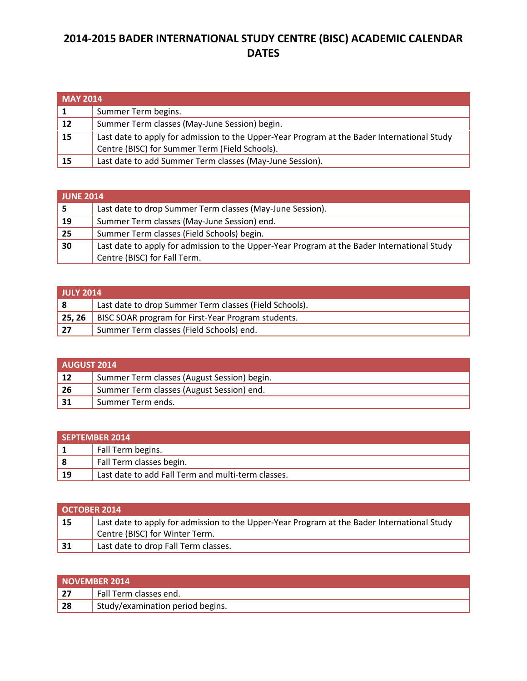## **2014-2015 BADER INTERNATIONAL STUDY CENTRE (BISC) ACADEMIC CALENDAR DATES**

| <b>MAY 2014</b> |                                                                                             |
|-----------------|---------------------------------------------------------------------------------------------|
|                 | Summer Term begins.                                                                         |
| $\sqrt{12}$     | Summer Term classes (May-June Session) begin.                                               |
| $\vert$ 15      | Last date to apply for admission to the Upper-Year Program at the Bader International Study |
|                 | Centre (BISC) for Summer Term (Field Schools).                                              |
| 15              | Last date to add Summer Term classes (May-June Session).                                    |

| <b>JUNE 2014</b> |                                                                                             |
|------------------|---------------------------------------------------------------------------------------------|
|                  | Last date to drop Summer Term classes (May-June Session).                                   |
| 19               | Summer Term classes (May-June Session) end.                                                 |
| 25               | Summer Term classes (Field Schools) begin.                                                  |
| 30               | Last date to apply for admission to the Upper-Year Program at the Bader International Study |
|                  | Centre (BISC) for Fall Term.                                                                |

| <b>JULY 2014</b> |                                                             |
|------------------|-------------------------------------------------------------|
|                  | Last date to drop Summer Term classes (Field Schools).      |
|                  | 25, 26   BISC SOAR program for First-Year Program students. |
| 27               | Summer Term classes (Field Schools) end.                    |

| AUGUST 2014 |                                             |
|-------------|---------------------------------------------|
| -12         | Summer Term classes (August Session) begin. |
| 26          | Summer Term classes (August Session) end.   |
| 31          | Summer Term ends.                           |

| SEPTEMBER 2014 |                                                    |
|----------------|----------------------------------------------------|
|                | Fall Term begins.                                  |
| -8             | Fall Term classes begin.                           |
| 19             | Last date to add Fall Term and multi-term classes. |

| <b>OCTOBER 2014</b> |                                                                                                                               |
|---------------------|-------------------------------------------------------------------------------------------------------------------------------|
| 15                  | Last date to apply for admission to the Upper-Year Program at the Bader International Study<br>Centre (BISC) for Winter Term. |
| 31                  | Last date to drop Fall Term classes.                                                                                          |

| <b>NOVEMBER 2014</b> |                                  |
|----------------------|----------------------------------|
| 27                   | Fall Term classes end.           |
| 28                   | Study/examination period begins. |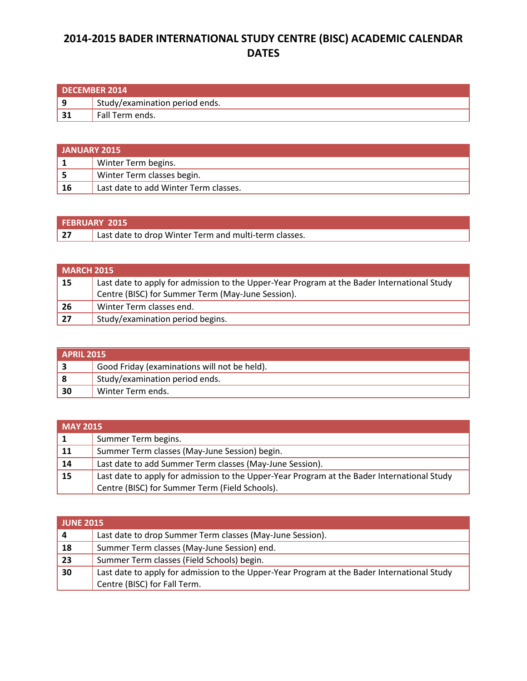## **2014-2015 BADER INTERNATIONAL STUDY CENTRE (BISC) ACADEMIC CALENDAR DATES**

| DECEMBER 2014 |                                |
|---------------|--------------------------------|
| l 9           | Study/examination period ends. |
| 31            | Fall Term ends.                |

| <b>JANUARY 2015</b> |                                       |
|---------------------|---------------------------------------|
|                     | Winter Term begins.                   |
|                     | Winter Term classes begin.            |
| 16                  | Last date to add Winter Term classes. |

|    | <b>FEBRUARY 2015</b>                                  |
|----|-------------------------------------------------------|
| 27 | Last date to drop Winter Term and multi-term classes. |

| <b>MARCH 2015</b> |                                                                                             |
|-------------------|---------------------------------------------------------------------------------------------|
| $\vert$ 15        | Last date to apply for admission to the Upper-Year Program at the Bader International Study |
|                   | Centre (BISC) for Summer Term (May-June Session).                                           |
| 26                | Winter Term classes end.                                                                    |
| 27                | Study/examination period begins.                                                            |

| APRIL 2015 |                                              |
|------------|----------------------------------------------|
|            | Good Friday (examinations will not be held). |
| -8         | Study/examination period ends.               |
| 30         | Winter Term ends.                            |

| <b>MAY 2015</b> |                                                                                             |
|-----------------|---------------------------------------------------------------------------------------------|
|                 | Summer Term begins.                                                                         |
| $\sqrt{11}$     | Summer Term classes (May-June Session) begin.                                               |
| $\vert$ 14      | Last date to add Summer Term classes (May-June Session).                                    |
| 15              | Last date to apply for admission to the Upper-Year Program at the Bader International Study |
|                 | Centre (BISC) for Summer Term (Field Schools).                                              |

| <b>JUNE 2015</b> |                                                                                             |
|------------------|---------------------------------------------------------------------------------------------|
| 4                | Last date to drop Summer Term classes (May-June Session).                                   |
| 18               | Summer Term classes (May-June Session) end.                                                 |
| 23               | Summer Term classes (Field Schools) begin.                                                  |
| 30               | Last date to apply for admission to the Upper-Year Program at the Bader International Study |
|                  | Centre (BISC) for Fall Term.                                                                |